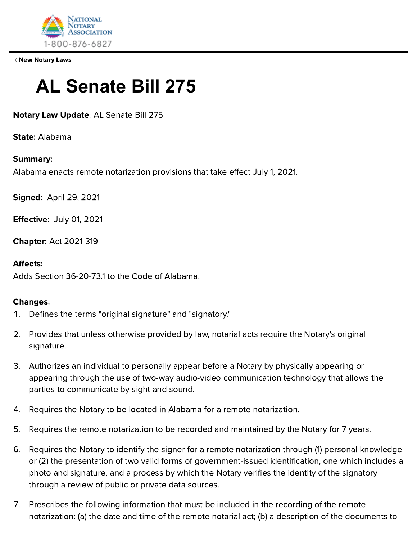

New [Notary](https://www.nationalnotary.org/knowledge-center/news/law-updates) Laws

# **AL Senate Bill 275**

Notary Law Update: AL Senate Bill 275

State: Alabama

### Summary:

Alabama enacts remote notarization provisions that take effect July 1, 2021.

Signed: April 29, 2021

Effective: July 01, 2021

Chapter: Act 2021-319

### Affects:

Adds Section 36-20-73.1 to the Code of Alabama.

#### Changes:

- 1. Defines the terms "original signature" and "signatory."
- 2. Provides that unless otherwise provided by law, notarial acts require the Notary's original signature.
- 3. Authorizes an individual to personally appear before a Notary by physically appearing or appearing through the use of two-way audio-video communication technology that allows the parties to communicate by sight and sound.
- 4. Requires the Notary to be located in Alabama for a remote notarization.
- 5. Requires the remote notarization to be recorded and maintained by the Notary for 7 years.
- 6. Requires the Notary to identify the signer for a remote notarization through (1) personal knowledge or (2) the presentation of two valid forms of government-issued identification, one which includes a photo and signature, and a process by which the Notary verifies the identity of the signatory through a review of public or private data sources.
- 7. Prescribes the following information that must be included in the recording of the remote notarization: (a) the date and time of the remote notarial act; (b) a description of the documents to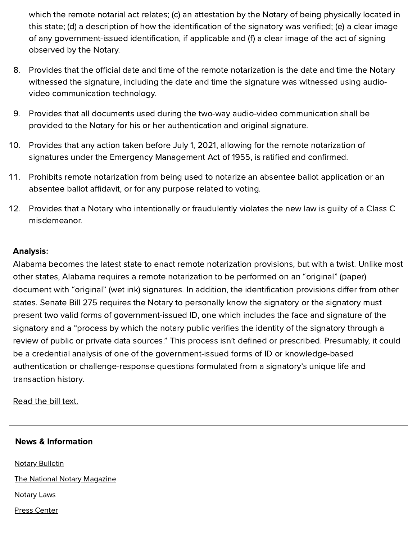which the remote notarial act relates; (c) an attestation by the Notary of being physically located in this state; (d) a description of how the identification of the signatory was verified; (e) a clear image of any government-issued identification, if applicable and (f) a clear image of the act of signing observed by the Notary.

- . Provides that the official date and time of the remote notarization is the date and time the Notary witnessed the signature, including the date and time the signature was witnessed using audiovideo communication technology.
- 9. Provides that all documents used during the two-way audio-video communication shall be provided to the Notary for his or her authentication and original signature.
- 10. Provides that any action taken before July 1, 2021, allowing for the remote notarization of signatures under the Emergency Management Act of 1955, is ratified and confirmed.
- 11. Prohibits remote notarization from being used to notarize an absentee ballot application or an absentee ballot affidavit, or for any purpose related to voting.
- 12. Provides that a Notary who intentionally or fraudulently violates the new law is guilty of a Class C misdemeanor.

# Analysis:

Alabama becomes the latest state to enact remote notarization provisions, but with a twist. Unlike most other states, Alabama requires a remote notarization to be performed on an "original" (paper) document with "original" (wet ink) signatures. In addition, the identification provisions differ from other states. Senate Bill 275 requires the Notary to personally know the signatory or the signatory must present two valid forms of government-issued ID, one which includes the face and signature of the signatory and a "process by which the notary public verifies the identity of the signatory through a review of public or private data sources." This process isn't defined or prescribed. Presumably, it could be a credential analysis of one of the government-issued forms of ID or knowledge-based authentication or challenge-response questions formulated from a signatory's unique life and transaction history.

#### [Read](http://alisondb.legislature.state.al.us/ALISON/SearchableInstruments/2021RS/PrintFiles/SB275-enr.pdf) the bill text.

#### News & Information

**Notary [Bulletin](https://www.nationalnotary.org/notary-bulletin)** The [National Notary](https://www.nationalnotary.org/the-national-notary) Magazine [Notary](https://www.nationalnotary.org/knowledge-center/news/law-updates) Laws Press [Center](https://www.nationalnotary.org/press-center)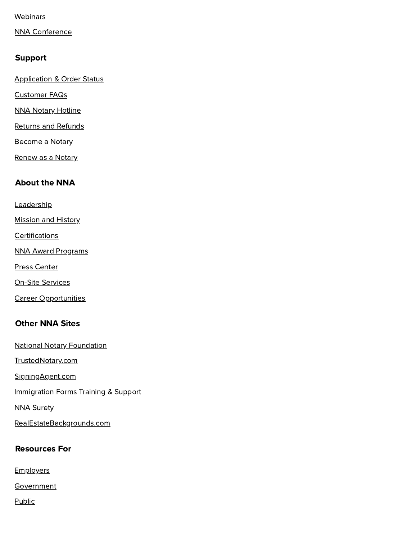#### **[Webinars](https://www.nationalnotary.org/knowledge-center/news/webinars)**

NNA [Conference](https://www.nationalnotary.org/nna2021)

### Support

[Application &](https://www.nationalnotary.org/support/application-and-order-status) Order Status

[Customer](https://www.nationalnotary.org/support/faq) FAQs

NNA Notary [Hotline](https://www.nationalnotary.org/membership/hotline)

Returns [and Refunds](https://www.nationalnotary.org/support/returns-and-refunds)

[Become](https://www.nationalnotary.org/become-a-notary) a Notary

[Renew](https://www.nationalnotary.org/renew-a-notary) as a Notary

# About the NNA

**[Leadership](https://www.nationalnotary.org/about-the-nna/leadership)** 

**[Mission and History](https://www.nationalnotary.org/about-the-nna/mission-and-history)** 

**[Certifications](https://www.nationalnotary.org/about-the-nna/certifications)** 

NNA [Award Programs](https://www.nationalnotary.org/about-the-nna/award-programs)

Press [Center](https://www.nationalnotary.org/press-center)

On-Site [Services](https://www.nationalnotary.org/about-the-nna/on-site-services)

Career [Opportunities](https://www.nationalnotary.org/about-the-nna/career-opportunities)

# Other NNA Sites

[National Notary](https://www.nationalnotary.org/about-the-nna/national-notary-foundation) Foundation [TrustedNotary.com](https://www.trustednotary.com/) [SigningAgent.com](https://www.signingagent.com/) [Immigration Forms](https://www.nationalnotary.org/immigration) Training & Support **NNA [Surety](https://www.nnasuretybonds.com/)** [RealEstateBackgrounds.com](http://www.rebackgrounds.com/)

# Resources For

**[Employers](https://www.nationalnotary.org/business)** 

[Government](https://www.nationalnotary.org/resources-for/government)

[Public](https://www.nationalnotary.org/resources-for/public)